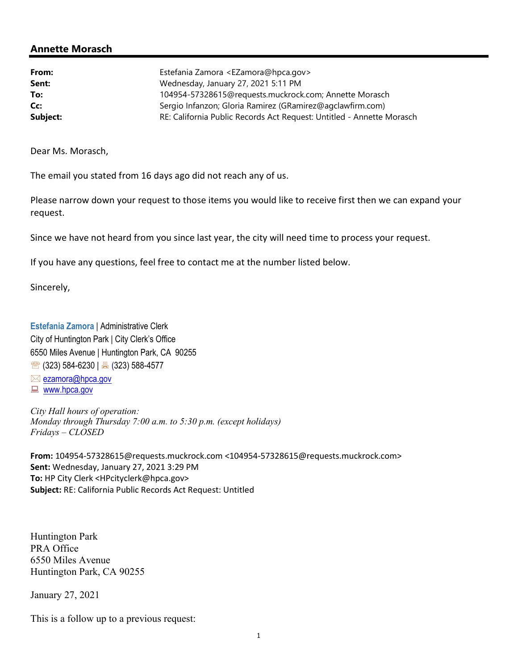## Annette Morasch

| From:    | Estefania Zamora <ezamora@hpca.gov><br/>Wednesday, January 27, 2021 5:11 PM</ezamora@hpca.gov> |  |
|----------|------------------------------------------------------------------------------------------------|--|
| Sent:    |                                                                                                |  |
| To:      | 104954-57328615@requests.muckrock.com; Annette Morasch                                         |  |
| Cc:      | Sergio Infanzon; Gloria Ramirez (GRamirez@agclawfirm.com)                                      |  |
| Subject: | RE: California Public Records Act Request: Untitled - Annette Morasch                          |  |

Dear Ms. Morasch,

The email you stated from 16 days ago did not reach any of us.

Please narrow down your request to those items you would like to receive first then we can expand your request.

Since we have not heard from you since last year, the city will need time to process your request.

If you have any questions, feel free to contact me at the number listed below.

Sincerely,

Estefania Zamora | Administrative Clerk City of Huntington Park | City Clerk's Office 6550 Miles Avenue | Huntington Park, CA 90255  $\circ$  (323) 584-6230 |  $\circ$  (323) 588-4577

- $\boxtimes$  ezamora@hpca.gov
- **E** www.hpca.gov

City Hall hours of operation: Monday through Thursday 7:00 a.m. to 5:30 p.m. (except holidays) Fridays – CLOSED

From: 104954-57328615@requests.muckrock.com <104954-57328615@requests.muckrock.com> Sent: Wednesday, January 27, 2021 3:29 PM To: HP City Clerk <HPcityclerk@hpca.gov> Subject: RE: California Public Records Act Request: Untitled

Huntington Park PRA Office 6550 Miles Avenue Huntington Park, CA 90255

January 27, 2021

This is a follow up to a previous request: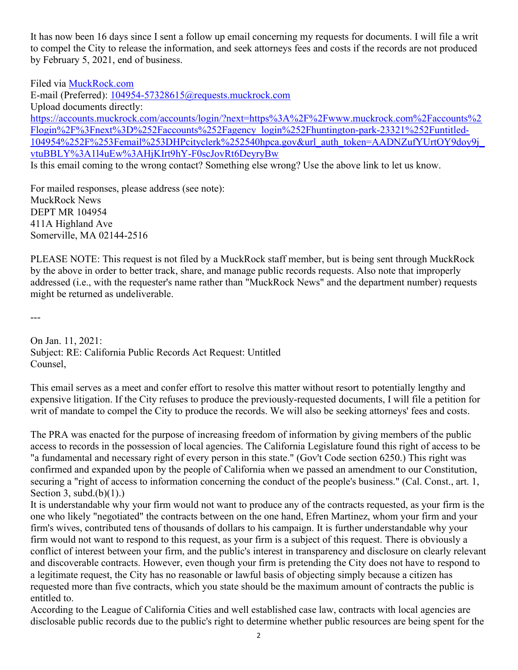It has now been 16 days since I sent a follow up email concerning my requests for documents. I will file a writ to compel the City to release the information, and seek attorneys fees and costs if the records are not produced by February 5, 2021, end of business.

Filed via MuckRock.com E-mail (Preferred): 104954-57328615@requests.muckrock.com Upload documents directly: https://accounts.muckrock.com/accounts/login/?next=https%3A%2F%2Fwww.muckrock.com%2Faccounts%2 Flogin%2F%3Fnext%3D%252Faccounts%252Fagency\_login%252Fhuntington-park-23321%252Funtitled-104954%252F%253Femail%253DHPcityclerk%252540hpca.gov&url\_auth\_token=AADNZufYUrtOY9doy9j\_ vtuBBLY%3A1l4uEw%3AHjKIrt9hY-F0scJovRt6DeyryBw

Is this email coming to the wrong contact? Something else wrong? Use the above link to let us know.

For mailed responses, please address (see note): MuckRock News DEPT MR 104954 411A Highland Ave Somerville, MA 02144-2516

PLEASE NOTE: This request is not filed by a MuckRock staff member, but is being sent through MuckRock by the above in order to better track, share, and manage public records requests. Also note that improperly addressed (i.e., with the requester's name rather than "MuckRock News" and the department number) requests might be returned as undeliverable.

---

On Jan. 11, 2021: Subject: RE: California Public Records Act Request: Untitled Counsel,

This email serves as a meet and confer effort to resolve this matter without resort to potentially lengthy and expensive litigation. If the City refuses to produce the previously-requested documents, I will file a petition for writ of mandate to compel the City to produce the records. We will also be seeking attorneys' fees and costs.

The PRA was enacted for the purpose of increasing freedom of information by giving members of the public access to records in the possession of local agencies. The California Legislature found this right of access to be "a fundamental and necessary right of every person in this state." (Gov't Code section 6250.) This right was confirmed and expanded upon by the people of California when we passed an amendment to our Constitution, securing a "right of access to information concerning the conduct of the people's business." (Cal. Const., art. 1, Section 3, subd. $(b)(1)$ .

It is understandable why your firm would not want to produce any of the contracts requested, as your firm is the one who likely "negotiated" the contracts between on the one hand, Efren Martinez, whom your firm and your firm's wives, contributed tens of thousands of dollars to his campaign. It is further understandable why your firm would not want to respond to this request, as your firm is a subject of this request. There is obviously a conflict of interest between your firm, and the public's interest in transparency and disclosure on clearly relevant and discoverable contracts. However, even though your firm is pretending the City does not have to respond to a legitimate request, the City has no reasonable or lawful basis of objecting simply because a citizen has requested more than five contracts, which you state should be the maximum amount of contracts the public is entitled to.

According to the League of California Cities and well established case law, contracts with local agencies are disclosable public records due to the public's right to determine whether public resources are being spent for the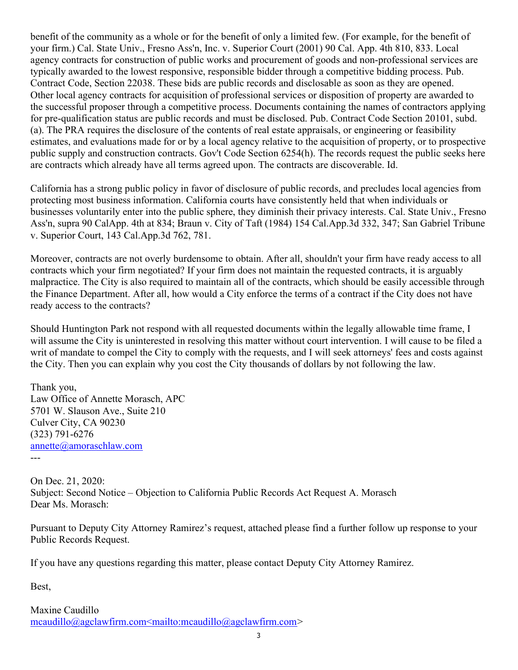benefit of the community as a whole or for the benefit of only a limited few. (For example, for the benefit of your firm.) Cal. State Univ., Fresno Ass'n, Inc. v. Superior Court (2001) 90 Cal. App. 4th 810, 833. Local agency contracts for construction of public works and procurement of goods and non-professional services are typically awarded to the lowest responsive, responsible bidder through a competitive bidding process. Pub. Contract Code, Section 22038. These bids are public records and disclosable as soon as they are opened. Other local agency contracts for acquisition of professional services or disposition of property are awarded to the successful proposer through a competitive process. Documents containing the names of contractors applying for pre-qualification status are public records and must be disclosed. Pub. Contract Code Section 20101, subd. (a). The PRA requires the disclosure of the contents of real estate appraisals, or engineering or feasibility estimates, and evaluations made for or by a local agency relative to the acquisition of property, or to prospective public supply and construction contracts. Gov't Code Section 6254(h). The records request the public seeks here are contracts which already have all terms agreed upon. The contracts are discoverable. Id.

California has a strong public policy in favor of disclosure of public records, and precludes local agencies from protecting most business information. California courts have consistently held that when individuals or businesses voluntarily enter into the public sphere, they diminish their privacy interests. Cal. State Univ., Fresno Ass'n, supra 90 CalApp. 4th at 834; Braun v. City of Taft (1984) 154 Cal.App.3d 332, 347; San Gabriel Tribune v. Superior Court, 143 Cal.App.3d 762, 781.

Moreover, contracts are not overly burdensome to obtain. After all, shouldn't your firm have ready access to all contracts which your firm negotiated? If your firm does not maintain the requested contracts, it is arguably malpractice. The City is also required to maintain all of the contracts, which should be easily accessible through the Finance Department. After all, how would a City enforce the terms of a contract if the City does not have ready access to the contracts?

Should Huntington Park not respond with all requested documents within the legally allowable time frame, I will assume the City is uninterested in resolving this matter without court intervention. I will cause to be filed a writ of mandate to compel the City to comply with the requests, and I will seek attorneys' fees and costs against the City. Then you can explain why you cost the City thousands of dollars by not following the law.

Thank you, Law Office of Annette Morasch, APC 5701 W. Slauson Ave., Suite 210 Culver City, CA 90230 (323) 791-6276 annette@amoraschlaw.com ---

On Dec. 21, 2020: Subject: Second Notice – Objection to California Public Records Act Request A. Morasch Dear Ms. Morasch:

Pursuant to Deputy City Attorney Ramirez's request, attached please find a further follow up response to your Public Records Request.

If you have any questions regarding this matter, please contact Deputy City Attorney Ramirez.

Best,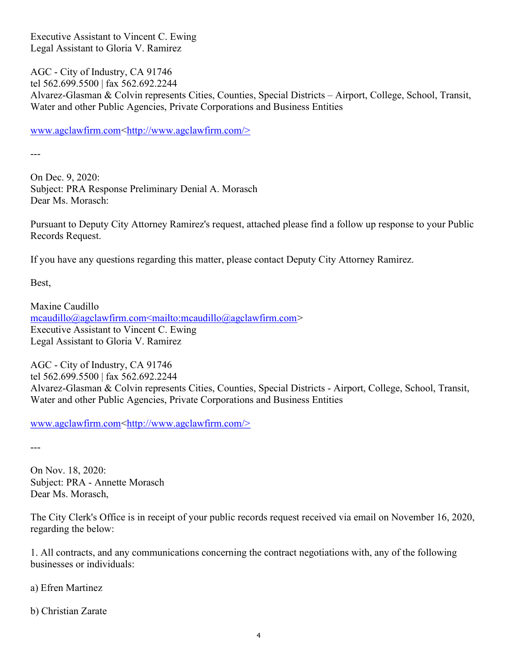Executive Assistant to Vincent C. Ewing Legal Assistant to Gloria V. Ramirez

AGC - City of Industry, CA 91746 tel 562.699.5500 | fax 562.692.2244 Alvarez-Glasman & Colvin represents Cities, Counties, Special Districts – Airport, College, School, Transit, Water and other Public Agencies, Private Corporations and Business Entities

www.agclawfirm.com<http://www.agclawfirm.com/>

---

On Dec. 9, 2020: Subject: PRA Response Preliminary Denial A. Morasch Dear Ms. Morasch:

Pursuant to Deputy City Attorney Ramirez's request, attached please find a follow up response to your Public Records Request.

If you have any questions regarding this matter, please contact Deputy City Attorney Ramirez.

Best,

Maxine Caudillo mcaudillo@agclawfirm.com<mailto:mcaudillo@agclawfirm.com> Executive Assistant to Vincent C. Ewing Legal Assistant to Gloria V. Ramirez

AGC - City of Industry, CA 91746 tel 562.699.5500 | fax 562.692.2244 Alvarez-Glasman & Colvin represents Cities, Counties, Special Districts - Airport, College, School, Transit, Water and other Public Agencies, Private Corporations and Business Entities

www.agclawfirm.com<http://www.agclawfirm.com/>

---

On Nov. 18, 2020: Subject: PRA - Annette Morasch Dear Ms. Morasch,

The City Clerk's Office is in receipt of your public records request received via email on November 16, 2020, regarding the below:

1. All contracts, and any communications concerning the contract negotiations with, any of the following businesses or individuals:

a) Efren Martinez

b) Christian Zarate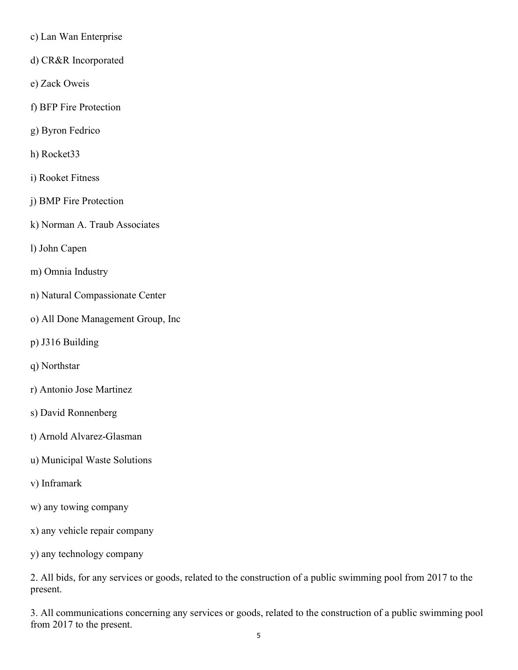- c) Lan Wan Enterprise
- d) CR&R Incorporated
- e) Zack Oweis
- f) BFP Fire Protection
- g) Byron Fedrico
- h) Rocket33
- i) Rooket Fitness
- j) BMP Fire Protection
- k) Norman A. Traub Associates
- l) John Capen
- m) Omnia Industry
- n) Natural Compassionate Center
- o) All Done Management Group, Inc
- p) J316 Building
- q) Northstar
- r) Antonio Jose Martinez
- s) David Ronnenberg
- t) Arnold Alvarez-Glasman
- u) Municipal Waste Solutions
- v) Inframark
- w) any towing company
- x) any vehicle repair company
- y) any technology company

2. All bids, for any services or goods, related to the construction of a public swimming pool from 2017 to the present.

3. All communications concerning any services or goods, related to the construction of a public swimming pool from 2017 to the present.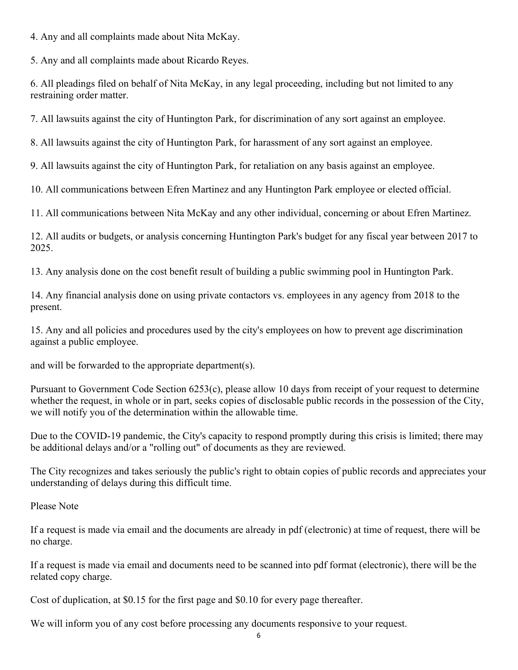4. Any and all complaints made about Nita McKay.

5. Any and all complaints made about Ricardo Reyes.

6. All pleadings filed on behalf of Nita McKay, in any legal proceeding, including but not limited to any restraining order matter.

7. All lawsuits against the city of Huntington Park, for discrimination of any sort against an employee.

8. All lawsuits against the city of Huntington Park, for harassment of any sort against an employee.

9. All lawsuits against the city of Huntington Park, for retaliation on any basis against an employee.

10. All communications between Efren Martinez and any Huntington Park employee or elected official.

11. All communications between Nita McKay and any other individual, concerning or about Efren Martinez.

12. All audits or budgets, or analysis concerning Huntington Park's budget for any fiscal year between 2017 to 2025.

13. Any analysis done on the cost benefit result of building a public swimming pool in Huntington Park.

14. Any financial analysis done on using private contactors vs. employees in any agency from 2018 to the present.

15. Any and all policies and procedures used by the city's employees on how to prevent age discrimination against a public employee.

and will be forwarded to the appropriate department(s).

Pursuant to Government Code Section 6253(c), please allow 10 days from receipt of your request to determine whether the request, in whole or in part, seeks copies of disclosable public records in the possession of the City, we will notify you of the determination within the allowable time.

Due to the COVID-19 pandemic, the City's capacity to respond promptly during this crisis is limited; there may be additional delays and/or a "rolling out" of documents as they are reviewed.

The City recognizes and takes seriously the public's right to obtain copies of public records and appreciates your understanding of delays during this difficult time.

Please Note

If a request is made via email and the documents are already in pdf (electronic) at time of request, there will be no charge.

If a request is made via email and documents need to be scanned into pdf format (electronic), there will be the related copy charge.

Cost of duplication, at \$0.15 for the first page and \$0.10 for every page thereafter.

We will inform you of any cost before processing any documents responsive to your request.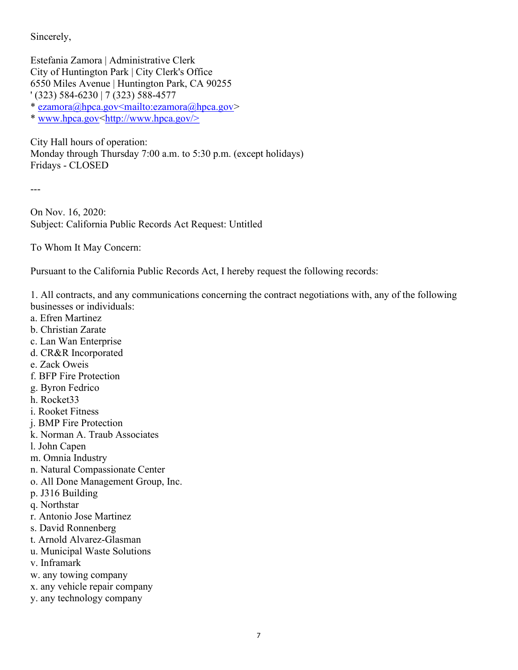Sincerely,

Estefania Zamora | Administrative Clerk City of Huntington Park | City Clerk's Office 6550 Miles Avenue | Huntington Park, CA 90255 ' (323) 584-6230 | 7 (323) 588-4577

\* ezamora@hpca.gov<mailto:ezamora@hpca.gov>

\* www.hpca.gov<http://www.hpca.gov/>

City Hall hours of operation: Monday through Thursday 7:00 a.m. to 5:30 p.m. (except holidays) Fridays - CLOSED

---

On Nov. 16, 2020: Subject: California Public Records Act Request: Untitled

To Whom It May Concern:

Pursuant to the California Public Records Act, I hereby request the following records:

1. All contracts, and any communications concerning the contract negotiations with, any of the following businesses or individuals:

- a. Efren Martinez
- b. Christian Zarate
- c. Lan Wan Enterprise
- d. CR&R Incorporated
- e. Zack Oweis
- f. BFP Fire Protection
- g. Byron Fedrico
- h. Rocket33
- i. Rooket Fitness
- j. BMP Fire Protection
- k. Norman A. Traub Associates
- l. John Capen
- m. Omnia Industry
- n. Natural Compassionate Center
- o. All Done Management Group, Inc.
- p. J316 Building
- q. Northstar
- r. Antonio Jose Martinez
- s. David Ronnenberg
- t. Arnold Alvarez-Glasman
- u. Municipal Waste Solutions
- v. Inframark
- w. any towing company
- x. any vehicle repair company
- y. any technology company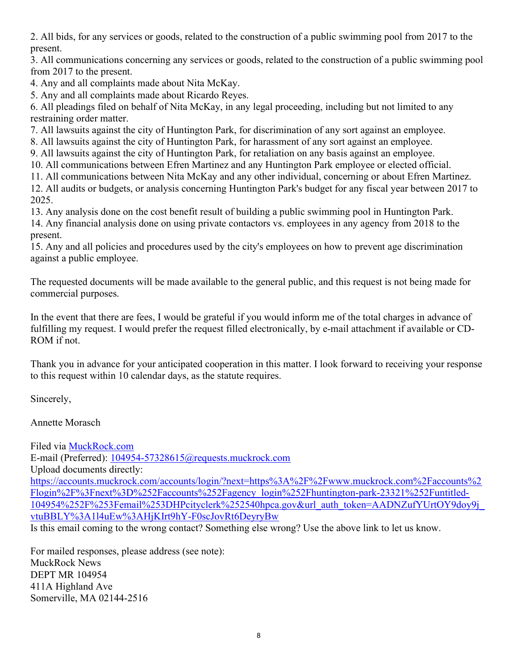2. All bids, for any services or goods, related to the construction of a public swimming pool from 2017 to the present.

3. All communications concerning any services or goods, related to the construction of a public swimming pool from 2017 to the present.

4. Any and all complaints made about Nita McKay.

5. Any and all complaints made about Ricardo Reyes.

6. All pleadings filed on behalf of Nita McKay, in any legal proceeding, including but not limited to any restraining order matter.

7. All lawsuits against the city of Huntington Park, for discrimination of any sort against an employee.

8. All lawsuits against the city of Huntington Park, for harassment of any sort against an employee.

9. All lawsuits against the city of Huntington Park, for retaliation on any basis against an employee.

10. All communications between Efren Martinez and any Huntington Park employee or elected official.

11. All communications between Nita McKay and any other individual, concerning or about Efren Martinez. 12. All audits or budgets, or analysis concerning Huntington Park's budget for any fiscal year between 2017 to 2025.

13. Any analysis done on the cost benefit result of building a public swimming pool in Huntington Park.

14. Any financial analysis done on using private contactors vs. employees in any agency from 2018 to the present.

15. Any and all policies and procedures used by the city's employees on how to prevent age discrimination against a public employee.

The requested documents will be made available to the general public, and this request is not being made for commercial purposes.

In the event that there are fees, I would be grateful if you would inform me of the total charges in advance of fulfilling my request. I would prefer the request filled electronically, by e-mail attachment if available or CD-ROM if not.

Thank you in advance for your anticipated cooperation in this matter. I look forward to receiving your response to this request within 10 calendar days, as the statute requires.

Sincerely,

Annette Morasch

Filed via MuckRock.com E-mail (Preferred): 104954-57328615@requests.muckrock.com Upload documents directly: https://accounts.muckrock.com/accounts/login/?next=https%3A%2F%2Fwww.muckrock.com%2Faccounts%2 Flogin%2F%3Fnext%3D%252Faccounts%252Fagency\_login%252Fhuntington-park-23321%252Funtitled-104954%252F%253Femail%253DHPcityclerk%252540hpca.gov&url\_auth\_token=AADNZufYUrtOY9doy9j\_ vtuBBLY%3A1l4uEw%3AHjKIrt9hY-F0scJovRt6DeyryBw Is this email coming to the wrong contact? Something else wrong? Use the above link to let us know.

For mailed responses, please address (see note): MuckRock News DEPT MR 104954 411A Highland Ave Somerville, MA 02144-2516